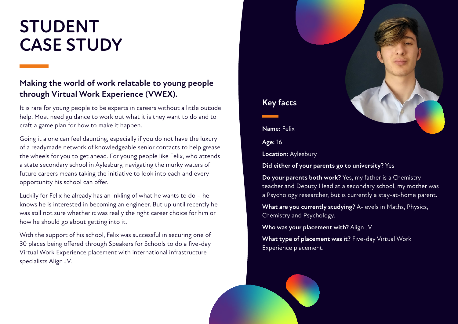# **STUDENT CASE STUDY**

# **Making the world of work relatable to young people through Virtual Work Experience (VWEX).**

It is rare for young people to be experts in careers without a little outside help. Most need guidance to work out what it is they want to do and to craft a game plan for how to make it happen.

Going it alone can feel daunting, especially if you do not have the luxury of a readymade network of knowledgeable senior contacts to help grease the wheels for you to get ahead. For young people like Felix, who attends a state secondary school in Aylesbury, navigating the murky waters of future careers means taking the initiative to look into each and every opportunity his school can offer.

Luckily for Felix he already has an inkling of what he wants to do – he knows he is interested in becoming an engineer. But up until recently he was still not sure whether it was really the right career choice for him or how he should go about getting into it.

With the support of his school, Felix was successful in securing one of 30 places being offered through Speakers for Schools to do a five-day Virtual Work Experience placement with international infrastructure specialists Align JV.

**Name:** Felix

**Key facts**

**Age:** 16

**Location:** Aylesbury

**Did either of your parents go to university?** Yes

**Do your parents both work?** Yes, my father is a Chemistry teacher and Deputy Head at a secondary school, my mother was a Psychology researcher, but is currently a stay-at-home parent.

**What are you currently studying?** A-levels in Maths, Physics, Chemistry and Psychology.

**Who was your placement with?** Align JV

**What type of placement was it?** Five-day Virtual Work Experience placement.

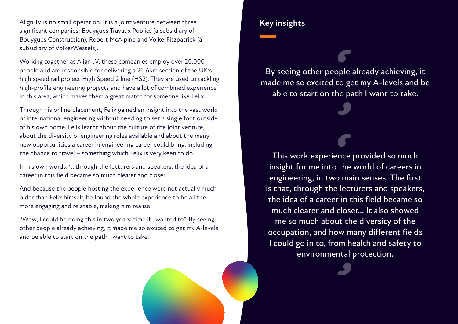Align JV is no small operation. It is a joint venture between three significant companies: Bouygues Travaux Publics (a subsidiary of Bouygues Construction), Robert McAlpine and VolkerFitzpatrick (a subsidiary of VolkerWessels).

Working together as Align JV, these companies employ over 20,000 people and are responsible for delivering a 21. 6km section of the UK's high speed rail project High Speed 2 line (HS2). They are used to tackling high-profile engineering projects and have a lot of combined experience in this area, which makes them a great match for someone like Felix.

Through his online placement, Felix gained an insight into the vast world of international engineering without needing to set a single foot outside of his own home. Felix learnt about the culture of the joint venture, about the diversity of engineering roles available and about the many new opportunities a career in engineering career could bring, including the chance to travel – something which Felix is very keen to do.

In his own words: "…through the lecturers and speakers, the idea of a career in this field became so much clearer and closer."

And because the people hosting the experience were not actually much older than Felix himself, he found the whole experience to be all the more engaging and relatable, making him realise:

"Wow, I could be doing this in two years' time if I wanted to". By seeing other people already achieving, it made me so excited to get my A-levels and be able to start on the path I want to take.'

### **Key insights**

By seeing other people already achieving, it made me so excited to get my A-levels and be able to start on the path I want to take.

This work experience provided so much insight for me into the world of careers in engineering, in two main senses. The first is that, through the lecturers and speakers, the idea of a career in this field became so much clearer and closer… It also showed me so much about the diversity of the occupation, and how many different fields I could go in to, from health and safety to environmental protection.